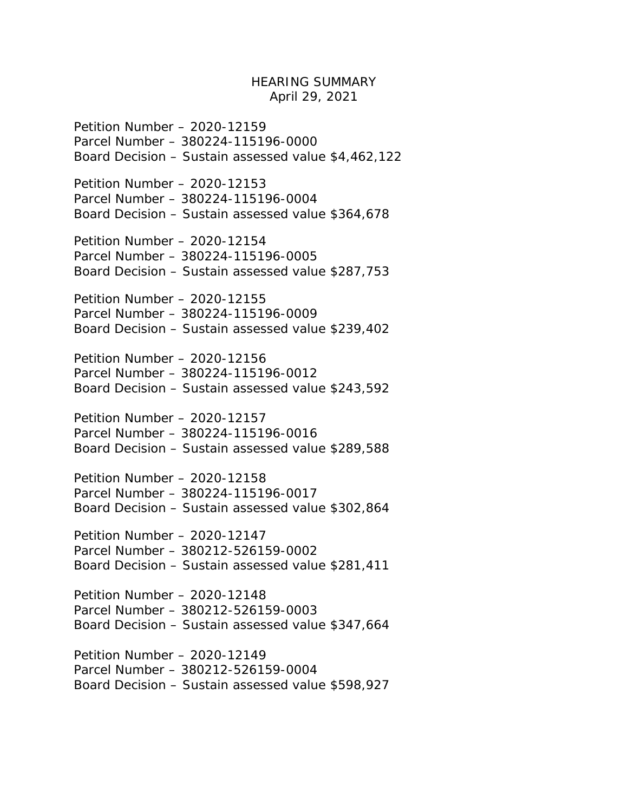## HEARING SUMMARY April 29, 2021

Petition Number – 2020-12159 Parcel Number – 380224-115196-0000 Board Decision – Sustain assessed value \$4,462,122

Petition Number – 2020-12153 Parcel Number – 380224-115196-0004 Board Decision – Sustain assessed value \$364,678

Petition Number – 2020-12154 Parcel Number – 380224-115196-0005 Board Decision – Sustain assessed value \$287,753

Petition Number – 2020-12155 Parcel Number – 380224-115196-0009 Board Decision – Sustain assessed value \$239,402

Petition Number – 2020-12156 Parcel Number – 380224-115196-0012 Board Decision – Sustain assessed value \$243,592

Petition Number – 2020-12157 Parcel Number – 380224-115196-0016 Board Decision – Sustain assessed value \$289,588

Petition Number – 2020-12158 Parcel Number – 380224-115196-0017 Board Decision – Sustain assessed value \$302,864

Petition Number – 2020-12147 Parcel Number – 380212-526159-0002 Board Decision – Sustain assessed value \$281,411

Petition Number – 2020-12148 Parcel Number – 380212-526159-0003 Board Decision – Sustain assessed value \$347,664

Petition Number – 2020-12149 Parcel Number – 380212-526159-0004 Board Decision – Sustain assessed value \$598,927